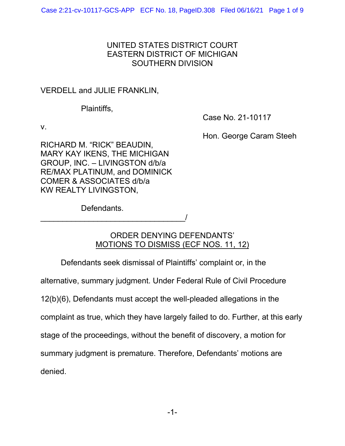## UNITED STATES DISTRICT COURT EASTERN DISTRICT OF MICHIGAN SOUTHERN DIVISION

## VERDELL and JULIE FRANKLIN,

Plaintiffs,

Case No. 21-10117

v.

Hon. George Caram Steeh

RICHARD M. "RICK" BEAUDIN, MARY KAY IKENS, THE MICHIGAN GROUP, INC. – LIVINGSTON d/b/a RE/MAX PLATINUM, and DOMINICK COMER & ASSOCIATES d/b/a KW REALTY LIVINGSTON,

Defendants.

\_\_\_\_\_\_\_\_\_\_\_\_\_\_\_\_\_\_\_\_\_\_\_\_\_\_\_\_\_\_\_\_\_/

# ORDER DENYING DEFENDANTS' MOTIONS TO DISMISS (ECF NOS. 11, 12)

Defendants seek dismissal of Plaintiffs' complaint or, in the alternative, summary judgment. Under Federal Rule of Civil Procedure 12(b)(6), Defendants must accept the well-pleaded allegations in the complaint as true, which they have largely failed to do. Further, at this early stage of the proceedings, without the benefit of discovery, a motion for summary judgment is premature. Therefore, Defendants' motions are denied.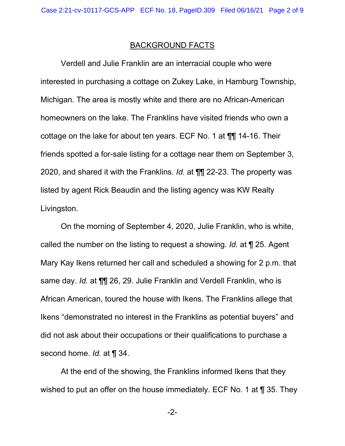#### BACKGROUND FACTS

Verdell and Julie Franklin are an interracial couple who were interested in purchasing a cottage on Zukey Lake, in Hamburg Township, Michigan. The area is mostly white and there are no African-American homeowners on the lake. The Franklins have visited friends who own a cottage on the lake for about ten years. ECF No. 1 at ¶¶ 14-16. Their friends spotted a for-sale listing for a cottage near them on September 3, 2020, and shared it with the Franklins. *Id.* at ¶¶ 22-23. The property was listed by agent Rick Beaudin and the listing agency was KW Realty Livingston.

On the morning of September 4, 2020, Julie Franklin, who is white, called the number on the listing to request a showing. *Id.* at ¶ 25. Agent Mary Kay Ikens returned her call and scheduled a showing for 2 p.m. that same day. *Id.* at ¶¶ 26, 29. Julie Franklin and Verdell Franklin, who is African American, toured the house with Ikens. The Franklins allege that Ikens "demonstrated no interest in the Franklins as potential buyers" and did not ask about their occupations or their qualifications to purchase a second home. *Id.* at ¶ 34.

At the end of the showing, the Franklins informed Ikens that they wished to put an offer on the house immediately. ECF No. 1 at ¶ 35. They

-2-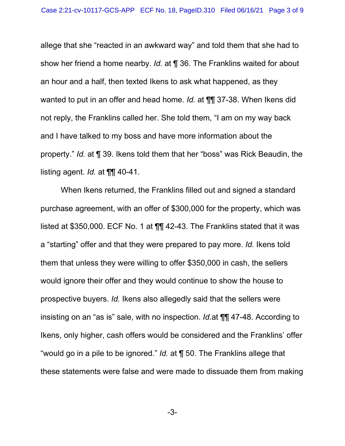allege that she "reacted in an awkward way" and told them that she had to show her friend a home nearby. *Id.* at ¶ 36. The Franklins waited for about an hour and a half, then texted Ikens to ask what happened, as they wanted to put in an offer and head home. *Id.* at ¶¶ 37-38. When Ikens did not reply, the Franklins called her. She told them, "I am on my way back and I have talked to my boss and have more information about the property." *Id.* at ¶ 39. Ikens told them that her "boss" was Rick Beaudin, the listing agent. *Id.* at ¶¶ 40-41.

When Ikens returned, the Franklins filled out and signed a standard purchase agreement, with an offer of \$300,000 for the property, which was listed at \$350,000. ECF No. 1 at ¶¶ 42-43. The Franklins stated that it was a "starting" offer and that they were prepared to pay more. *Id.* Ikens told them that unless they were willing to offer \$350,000 in cash, the sellers would ignore their offer and they would continue to show the house to prospective buyers. *Id.* Ikens also allegedly said that the sellers were insisting on an "as is" sale, with no inspection. *Id.*at ¶¶ 47-48. According to Ikens, only higher, cash offers would be considered and the Franklins' offer "would go in a pile to be ignored." *Id.* at ¶ 50. The Franklins allege that these statements were false and were made to dissuade them from making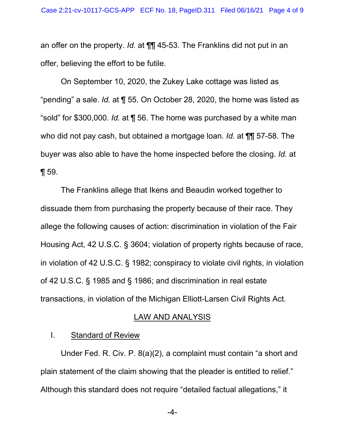an offer on the property. *Id.* at ¶¶ 45-53. The Franklins did not put in an offer, believing the effort to be futile.

On September 10, 2020, the Zukey Lake cottage was listed as "pending" a sale. *Id.* at ¶ 55. On October 28, 2020, the home was listed as "sold" for \$300,000. *Id.* at ¶ 56. The home was purchased by a white man who did not pay cash, but obtained a mortgage loan. *Id.* at ¶¶ 57-58. The buyer was also able to have the home inspected before the closing. *Id.* at ¶ 59.

The Franklins allege that Ikens and Beaudin worked together to dissuade them from purchasing the property because of their race. They allege the following causes of action: discrimination in violation of the Fair Housing Act, 42 U.S.C. § 3604; violation of property rights because of race, in violation of 42 U.S.C. § 1982; conspiracy to violate civil rights, in violation of 42 U.S.C. § 1985 and § 1986; and discrimination in real estate transactions, in violation of the Michigan Elliott-Larsen Civil Rights Act.

#### LAW AND ANALYSIS

### I. Standard of Review

Under Fed. R. Civ. P. 8(a)(2), a complaint must contain "a short and plain statement of the claim showing that the pleader is entitled to relief." Although this standard does not require "detailed factual allegations," it

-4-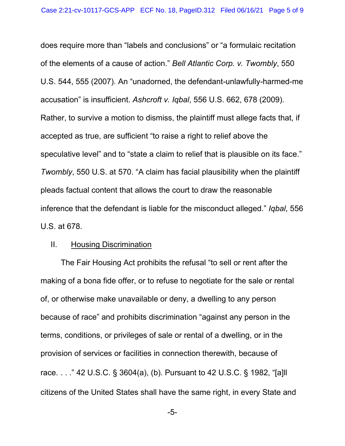does require more than "labels and conclusions" or "a formulaic recitation of the elements of a cause of action." *Bell Atlantic Corp. v. Twombly*, 550 U.S. 544, 555 (2007). An "unadorned, the defendant-unlawfully-harmed-me accusation" is insufficient. *Ashcroft v. Iqbal*, 556 U.S. 662, 678 (2009). Rather, to survive a motion to dismiss, the plaintiff must allege facts that, if accepted as true, are sufficient "to raise a right to relief above the speculative level" and to "state a claim to relief that is plausible on its face." *Twombly*, 550 U.S. at 570. "A claim has facial plausibility when the plaintiff pleads factual content that allows the court to draw the reasonable inference that the defendant is liable for the misconduct alleged." *Iqbal*, 556 U.S. at 678.

#### II. Housing Discrimination

The Fair Housing Act prohibits the refusal "to sell or rent after the making of a bona fide offer, or to refuse to negotiate for the sale or rental of, or otherwise make unavailable or deny, a dwelling to any person because of race" and prohibits discrimination "against any person in the terms, conditions, or privileges of sale or rental of a dwelling, or in the provision of services or facilities in connection therewith, because of race. . . ." 42 U.S.C. § 3604(a), (b). Pursuant to 42 U.S.C. § 1982, "[a]ll citizens of the United States shall have the same right, in every State and

-5-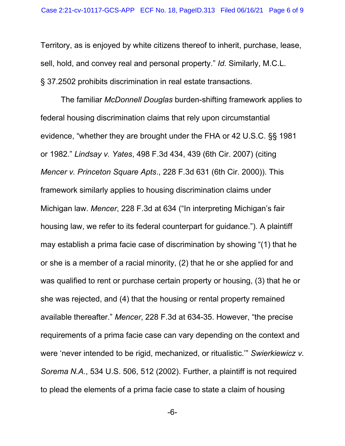Territory, as is enjoyed by white citizens thereof to inherit, purchase, lease, sell, hold, and convey real and personal property." *Id.* Similarly, M.C.L. § 37.2502 prohibits discrimination in real estate transactions.

The familiar *McDonnell Douglas* burden-shifting framework applies to federal housing discrimination claims that rely upon circumstantial evidence, "whether they are brought under the FHA or 42 U.S.C. §§ 1981 or 1982." *Lindsay v. Yates*, 498 F.3d 434, 439 (6th Cir. 2007) (citing *Mencer v. Princeton Square Apts*., 228 F.3d 631 (6th Cir. 2000)). This framework similarly applies to housing discrimination claims under Michigan law. *Mencer*, 228 F.3d at 634 ("In interpreting Michigan's fair housing law, we refer to its federal counterpart for guidance."). A plaintiff may establish a prima facie case of discrimination by showing "(1) that he or she is a member of a racial minority, (2) that he or she applied for and was qualified to rent or purchase certain property or housing, (3) that he or she was rejected, and (4) that the housing or rental property remained available thereafter." *Mencer*, 228 F.3d at 634-35. However, "the precise requirements of a prima facie case can vary depending on the context and were 'never intended to be rigid, mechanized, or ritualistic.'" *Swierkiewicz v. Sorema N.A.*, 534 U.S. 506, 512 (2002). Further, a plaintiff is not required to plead the elements of a prima facie case to state a claim of housing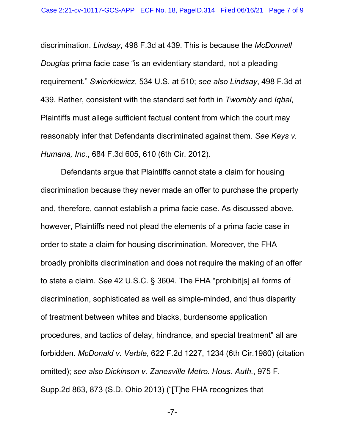discrimination. *Lindsay*, 498 F.3d at 439. This is because the *McDonnell Douglas* prima facie case "is an evidentiary standard, not a pleading requirement." *Swierkiewicz*, 534 U.S. at 510; *see also Lindsay*, 498 F.3d at 439. Rather, consistent with the standard set forth in *Twombly* and *Iqbal*, Plaintiffs must allege sufficient factual content from which the court may reasonably infer that Defendants discriminated against them. *See Keys v. Humana, Inc.*, 684 F.3d 605, 610 (6th Cir. 2012).

Defendants argue that Plaintiffs cannot state a claim for housing discrimination because they never made an offer to purchase the property and, therefore, cannot establish a prima facie case. As discussed above, however, Plaintiffs need not plead the elements of a prima facie case in order to state a claim for housing discrimination. Moreover, the FHA broadly prohibits discrimination and does not require the making of an offer to state a claim. *See* 42 U.S.C. § 3604. The FHA "prohibit[s] all forms of discrimination, sophisticated as well as simple-minded, and thus disparity of treatment between whites and blacks, burdensome application procedures, and tactics of delay, hindrance, and special treatment" all are forbidden. *McDonald v. Verble*, 622 F.2d 1227, 1234 (6th Cir.1980) (citation omitted); *see also Dickinson v. Zanesville Metro. Hous. Auth.*, 975 F. Supp.2d 863, 873 (S.D. Ohio 2013) ("[T]he FHA recognizes that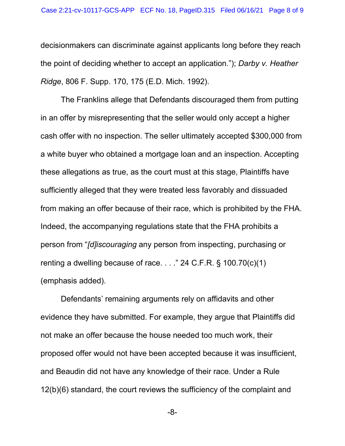decisionmakers can discriminate against applicants long before they reach the point of deciding whether to accept an application."); *Darby v. Heather Ridge*, 806 F. Supp. 170, 175 (E.D. Mich. 1992).

The Franklins allege that Defendants discouraged them from putting in an offer by misrepresenting that the seller would only accept a higher cash offer with no inspection. The seller ultimately accepted \$300,000 from a white buyer who obtained a mortgage loan and an inspection. Accepting these allegations as true, as the court must at this stage, Plaintiffs have sufficiently alleged that they were treated less favorably and dissuaded from making an offer because of their race, which is prohibited by the FHA. Indeed, the accompanying regulations state that the FHA prohibits a person from "*[d]iscouraging* any person from inspecting, purchasing or renting a dwelling because of race. . . ." 24 C.F.R. § 100.70(c)(1) (emphasis added).

Defendants' remaining arguments rely on affidavits and other evidence they have submitted. For example, they argue that Plaintiffs did not make an offer because the house needed too much work, their proposed offer would not have been accepted because it was insufficient, and Beaudin did not have any knowledge of their race. Under a Rule 12(b)(6) standard, the court reviews the sufficiency of the complaint and

-8-